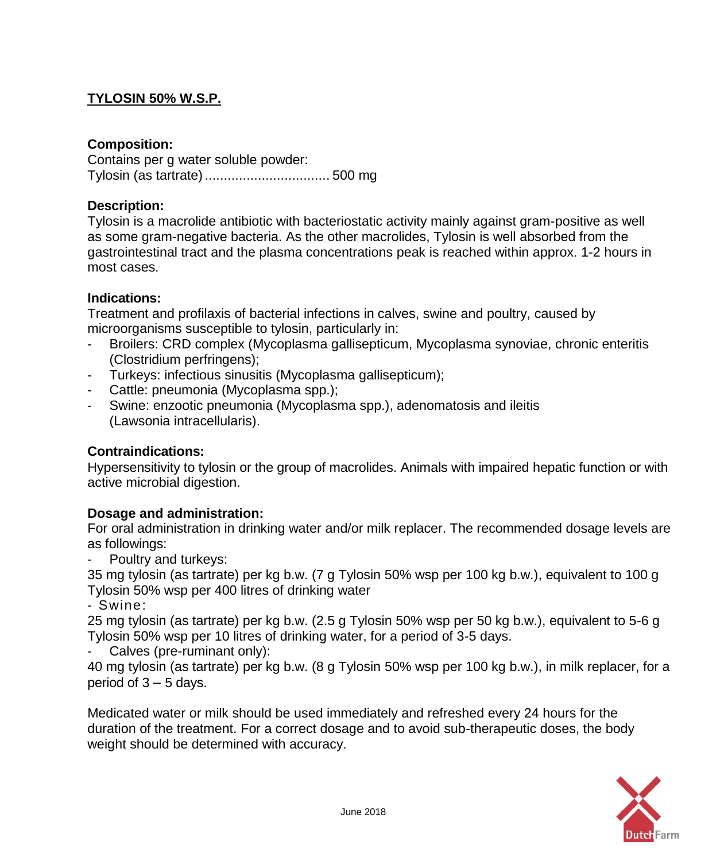# **TYLOSIN 50% W.S.P.**

### **Composition:**

Contains per g water soluble powder: Tylosin (as tartrate)................................. 500 mg

### **Description:**

Tylosin is a macrolide antibiotic with bacteriostatic activity mainly against gram-positive as well as some gram-negative bacteria. As the other macrolides, Tylosin is well absorbed from the gastrointestinal tract and the plasma concentrations peak is reached within approx. 1-2 hours in most cases.

### **Indications:**

Treatment and profilaxis of bacterial infections in calves, swine and poultry, caused by microorganisms susceptible to tylosin, particularly in:

- Broilers: CRD complex (Mycoplasma gallisepticum, Mycoplasma synoviae, chronic enteritis (Clostridium perfringens);
- Turkeys: infectious sinusitis (Mycoplasma gallisepticum);
- Cattle: pneumonia (Mycoplasma spp.);
- Swine: enzootic pneumonia (Mycoplasma spp.), adenomatosis and ileitis (Lawsonia intracellularis).

#### **Contraindications:**

Hypersensitivity to tylosin or the group of macrolides. Animals with impaired hepatic function or with active microbial digestion.

## **Dosage and administration:**

For oral administration in drinking water and/or milk replacer. The recommended dosage levels are as followings:

- Poultry and turkeys:

35 mg tylosin (as tartrate) per kg b.w. (7 g Tylosin 50% wsp per 100 kg b.w.), equivalent to 100 g Tylosin 50% wsp per 400 litres of drinking water

- Swine:

25 mg tylosin (as tartrate) per kg b.w. (2.5 g Tylosin 50% wsp per 50 kg b.w.), equivalent to 5-6 g Tylosin 50% wsp per 10 litres of drinking water, for a period of 3-5 days.

- Calves (pre-ruminant only):

40 mg tylosin (as tartrate) per kg b.w. (8 g Tylosin 50% wsp per 100 kg b.w.), in milk replacer, for a period of  $3 - 5$  days.

Medicated water or milk should be used immediately and refreshed every 24 hours for the duration of the treatment. For a correct dosage and to avoid sub-therapeutic doses, the body weight should be determined with accuracy.